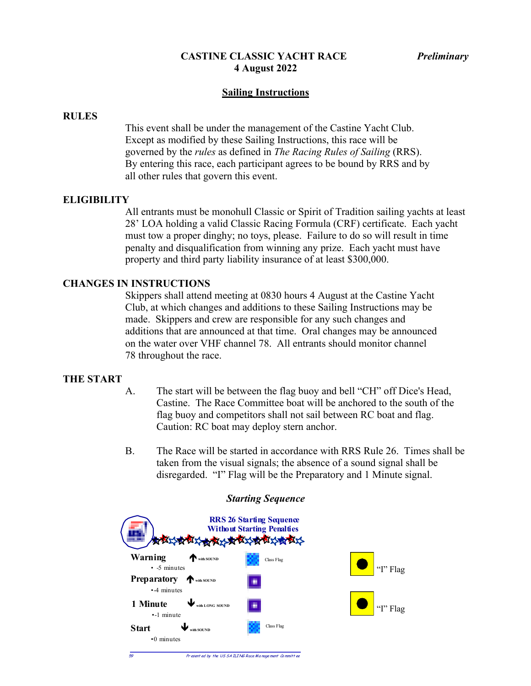## **Sailing Instructions**

### **RULES**

This event shall be under the management of the Castine Yacht Club. Except as modified by these Sailing Instructions, this race will be governed by the *rules* as defined in *The Racing Rules of Sailing* (RRS). By entering this race, each participant agrees to be bound by RRS and by all other rules that govern this event.

### **ELIGIBILITY**

All entrants must be monohull Classic or Spirit of Tradition sailing yachts at least 28' LOA holding a valid Classic Racing Formula (CRF) certificate. Each yacht must tow a proper dinghy; no toys, please. Failure to do so will result in time penalty and disqualification from winning any prize. Each yacht must have property and third party liability insurance of at least \$300,000.

### **CHANGES IN INSTRUCTIONS**

Skippers shall attend meeting at 0830 hours 4 August at the Castine Yacht Club, at which changes and additions to these Sailing Instructions may be made. Skippers and crew are responsible for any such changes and additions that are announced at that time. Oral changes may be announced on the water over VHF channel 78. All entrants should monitor channel 78 throughout the race.

#### **THE START**

- A. The start will be between the flag buoy and bell "CH" off Dice's Head, Castine. The Race Committee boat will be anchored to the south of the flag buoy and competitors shall not sail between RC boat and flag. Caution: RC boat may deploy stern anchor.
- B. The Race will be started in accordance with RRS Rule 26. Times shall be taken from the visual signals; the absence of a sound signal shall be disregarded. "I" Flag will be the Preparatory and 1 Minute signal.



#### *Starting Sequence*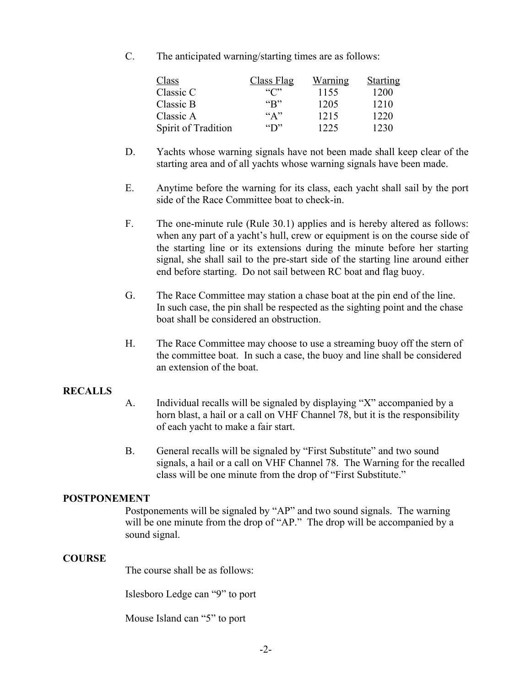C. The anticipated warning/starting times are as follows:

| Class               | Class Flag                        | Warning | <b>Starting</b> |
|---------------------|-----------------------------------|---------|-----------------|
| Classic C           | ``C"                              | 1155    | 1200            |
| Classic B           | $\mathbf{G}(\mathbf{R}^{\prime})$ | 1205    | 1210            |
| Classic A           | ``A"                              | 1215    | 1220            |
| Spirit of Tradition | $\mathbf{``D"}$                   | 225     | 1230            |

- D. Yachts whose warning signals have not been made shall keep clear of the starting area and of all yachts whose warning signals have been made.
- E. Anytime before the warning for its class, each yacht shall sail by the port side of the Race Committee boat to check-in.
- F. The one-minute rule (Rule 30.1) applies and is hereby altered as follows: when any part of a yacht's hull, crew or equipment is on the course side of the starting line or its extensions during the minute before her starting signal, she shall sail to the pre-start side of the starting line around either end before starting. Do not sail between RC boat and flag buoy.
- G. The Race Committee may station a chase boat at the pin end of the line. In such case, the pin shall be respected as the sighting point and the chase boat shall be considered an obstruction.
- H. The Race Committee may choose to use a streaming buoy off the stern of the committee boat. In such a case, the buoy and line shall be considered an extension of the boat.

# **RECALLS**

- A. Individual recalls will be signaled by displaying "X" accompanied by a horn blast, a hail or a call on VHF Channel 78, but it is the responsibility of each yacht to make a fair start.
- B. General recalls will be signaled by "First Substitute" and two sound signals, a hail or a call on VHF Channel 78. The Warning for the recalled class will be one minute from the drop of "First Substitute."

## **POSTPONEMENT**

Postponements will be signaled by "AP" and two sound signals. The warning will be one minute from the drop of "AP." The drop will be accompanied by a sound signal.

### **COURSE**

The course shall be as follows:

Islesboro Ledge can "9" to port

Mouse Island can "5" to port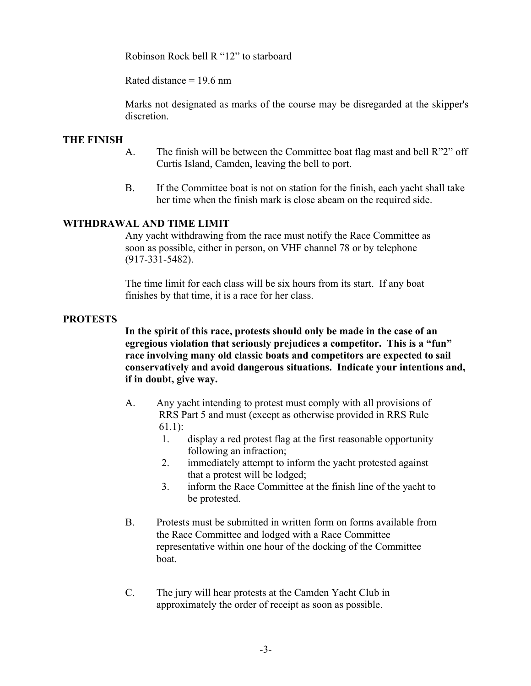Robinson Rock bell R "12" to starboard

Rated distance  $= 19.6$  nm

Marks not designated as marks of the course may be disregarded at the skipper's discretion.

# **THE FINISH**

- A. The finish will be between the Committee boat flag mast and bell R"2" off Curtis Island, Camden, leaving the bell to port.
- B. If the Committee boat is not on station for the finish, each yacht shall take her time when the finish mark is close abeam on the required side.

## **WITHDRAWAL AND TIME LIMIT**

Any yacht withdrawing from the race must notify the Race Committee as soon as possible, either in person, on VHF channel 78 or by telephone (917-331-5482).

The time limit for each class will be six hours from its start. If any boat finishes by that time, it is a race for her class.

## **PROTESTS**

**In the spirit of this race, protests should only be made in the case of an egregious violation that seriously prejudices a competitor. This is a "fun" race involving many old classic boats and competitors are expected to sail conservatively and avoid dangerous situations. Indicate your intentions and, if in doubt, give way.**

- A. Any yacht intending to protest must comply with all provisions of RRS Part 5 and must (except as otherwise provided in RRS Rule 61.1):
	- 1. display a red protest flag at the first reasonable opportunity following an infraction;
	- 2. immediately attempt to inform the yacht protested against that a protest will be lodged;
	- 3. inform the Race Committee at the finish line of the yacht to be protested.
- B. Protests must be submitted in written form on forms available from the Race Committee and lodged with a Race Committee representative within one hour of the docking of the Committee boat.
- C. The jury will hear protests at the Camden Yacht Club in approximately the order of receipt as soon as possible.